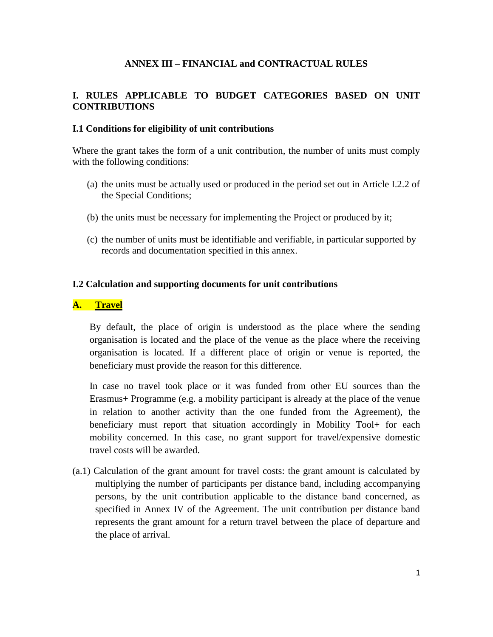### **ANNEX III – FINANCIAL and CONTRACTUAL RULES**

### **I. RULES APPLICABLE TO BUDGET CATEGORIES BASED ON UNIT CONTRIBUTIONS**

#### **I.1 Conditions for eligibility of unit contributions**

Where the grant takes the form of a unit contribution, the number of units must comply with the following conditions:

- (a) the units must be actually used or produced in the period set out in Article I.2.2 of the Special Conditions;
- (b) the units must be necessary for implementing the Project or produced by it;
- (c) the number of units must be identifiable and verifiable, in particular supported by records and documentation specified in this annex.

#### **I.2 Calculation and supporting documents for unit contributions**

#### **A. Travel**

By default, the place of origin is understood as the place where the sending organisation is located and the place of the venue as the place where the receiving organisation is located. If a different place of origin or venue is reported, the beneficiary must provide the reason for this difference.

In case no travel took place or it was funded from other EU sources than the Erasmus+ Programme (e.g. a mobility participant is already at the place of the venue in relation to another activity than the one funded from the Agreement), the beneficiary must report that situation accordingly in Mobility Tool+ for each mobility concerned. In this case, no grant support for travel/expensive domestic travel costs will be awarded.

(a.1) Calculation of the grant amount for travel costs: the grant amount is calculated by multiplying the number of participants per distance band, including accompanying persons, by the unit contribution applicable to the distance band concerned, as specified in Annex IV of the Agreement. The unit contribution per distance band represents the grant amount for a return travel between the place of departure and the place of arrival.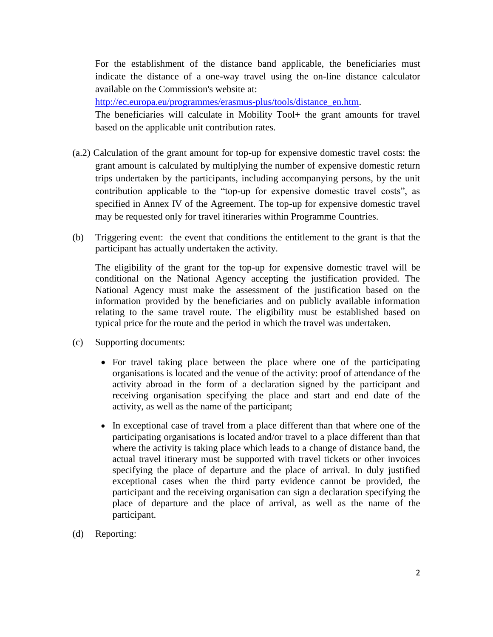For the establishment of the distance band applicable, the beneficiaries must indicate the distance of a one-way travel using the on-line distance calculator available on the Commission's website at:

[http://ec.europa.eu/programmes/erasmus-plus/tools/distance\\_en.htm.](http://ec.europa.eu/programmes/erasmus-plus/tools/distance_en.htm)

The beneficiaries will calculate in Mobility Tool+ the grant amounts for travel based on the applicable unit contribution rates.

- (a.2) Calculation of the grant amount for top-up for expensive domestic travel costs: the grant amount is calculated by multiplying the number of expensive domestic return trips undertaken by the participants, including accompanying persons, by the unit contribution applicable to the "top-up for expensive domestic travel costs", as specified in Annex IV of the Agreement. The top-up for expensive domestic travel may be requested only for travel itineraries within Programme Countries.
- (b) Triggering event: the event that conditions the entitlement to the grant is that the participant has actually undertaken the activity.

The eligibility of the grant for the top-up for expensive domestic travel will be conditional on the National Agency accepting the justification provided. The National Agency must make the assessment of the justification based on the information provided by the beneficiaries and on publicly available information relating to the same travel route. The eligibility must be established based on typical price for the route and the period in which the travel was undertaken.

- (c) Supporting documents:
	- For travel taking place between the place where one of the participating organisations is located and the venue of the activity: proof of attendance of the activity abroad in the form of a declaration signed by the participant and receiving organisation specifying the place and start and end date of the activity, as well as the name of the participant;
	- In exceptional case of travel from a place different than that where one of the participating organisations is located and/or travel to a place different than that where the activity is taking place which leads to a change of distance band, the actual travel itinerary must be supported with travel tickets or other invoices specifying the place of departure and the place of arrival. In duly justified exceptional cases when the third party evidence cannot be provided, the participant and the receiving organisation can sign a declaration specifying the place of departure and the place of arrival, as well as the name of the participant.
- (d) Reporting: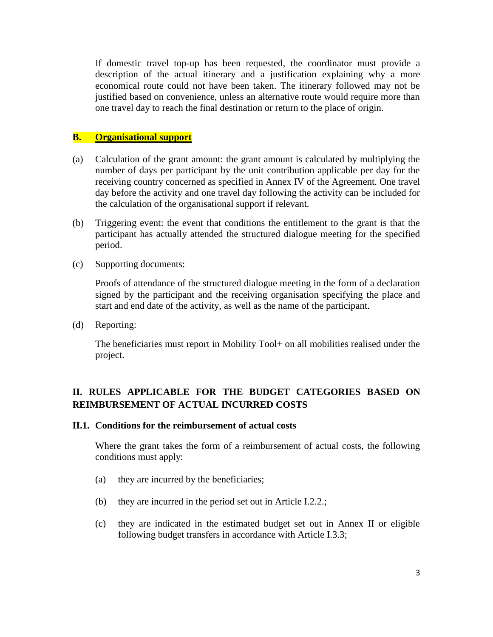If domestic travel top-up has been requested, the coordinator must provide a description of the actual itinerary and a justification explaining why a more economical route could not have been taken. The itinerary followed may not be justified based on convenience, unless an alternative route would require more than one travel day to reach the final destination or return to the place of origin.

#### **B. Organisational support**

- (a) Calculation of the grant amount: the grant amount is calculated by multiplying the number of days per participant by the unit contribution applicable per day for the receiving country concerned as specified in Annex IV of the Agreement. One travel day before the activity and one travel day following the activity can be included for the calculation of the organisational support if relevant.
- (b) Triggering event: the event that conditions the entitlement to the grant is that the participant has actually attended the structured dialogue meeting for the specified period.
- (c) Supporting documents:

Proofs of attendance of the structured dialogue meeting in the form of a declaration signed by the participant and the receiving organisation specifying the place and start and end date of the activity, as well as the name of the participant.

(d) Reporting:

The beneficiaries must report in Mobility Tool+ on all mobilities realised under the project.

## **II. RULES APPLICABLE FOR THE BUDGET CATEGORIES BASED ON REIMBURSEMENT OF ACTUAL INCURRED COSTS**

#### **II.1. Conditions for the reimbursement of actual costs**

Where the grant takes the form of a reimbursement of actual costs, the following conditions must apply:

- (a) they are incurred by the beneficiaries;
- (b) they are incurred in the period set out in Article I.2.2.;
- (c) they are indicated in the estimated budget set out in Annex II or eligible following budget transfers in accordance with Article I.3.3;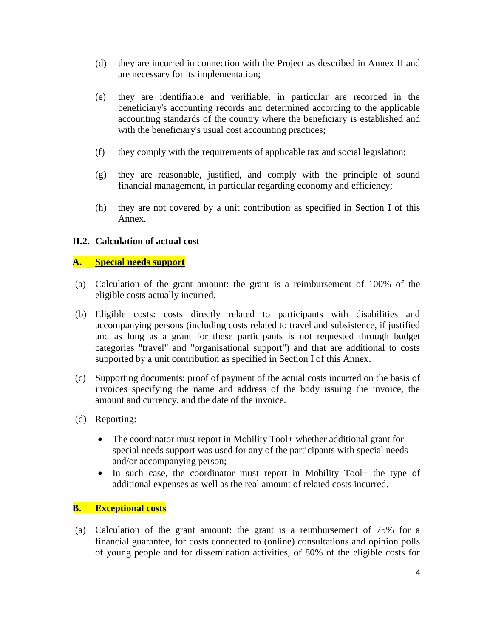- (d) they are incurred in connection with the Project as described in Annex II and are necessary for its implementation;
- (e) they are identifiable and verifiable, in particular are recorded in the beneficiary's accounting records and determined according to the applicable accounting standards of the country where the beneficiary is established and with the beneficiary's usual cost accounting practices;
- (f) they comply with the requirements of applicable tax and social legislation;
- (g) they are reasonable, justified, and comply with the principle of sound financial management, in particular regarding economy and efficiency;
- (h) they are not covered by a unit contribution as specified in Section I of this Annex.

#### **II.2. Calculation of actual cost**

#### **A. Special needs support**

- (a) Calculation of the grant amount: the grant is a reimbursement of 100% of the eligible costs actually incurred.
- (b) Eligible costs: costs directly related to participants with disabilities and accompanying persons (including costs related to travel and subsistence, if justified and as long as a grant for these participants is not requested through budget categories "travel" and "organisational support") and that are additional to costs supported by a unit contribution as specified in Section I of this Annex.
- (c) Supporting documents: proof of payment of the actual costs incurred on the basis of invoices specifying the name and address of the body issuing the invoice, the amount and currency, and the date of the invoice.
- (d) Reporting:
	- The coordinator must report in Mobility Tool + whether additional grant for special needs support was used for any of the participants with special needs and/or accompanying person;
	- In such case, the coordinator must report in Mobility Tool+ the type of additional expenses as well as the real amount of related costs incurred.

#### **B. Exceptional costs**

(a) Calculation of the grant amount: the grant is a reimbursement of 75% for a financial guarantee, for costs connected to (online) consultations and opinion polls of young people and for dissemination activities, of 80% of the eligible costs for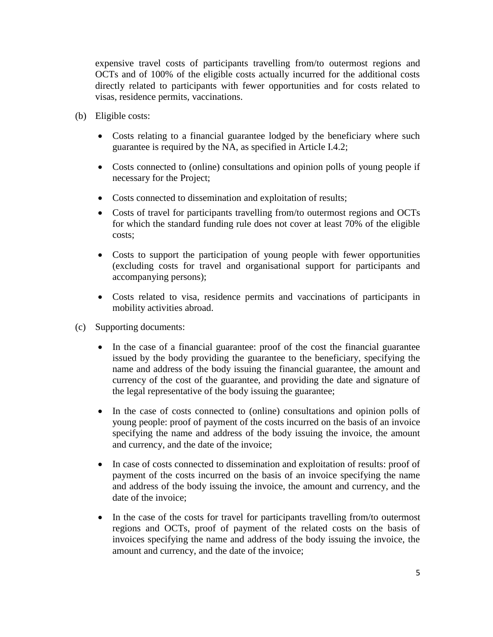expensive travel costs of participants travelling from/to outermost regions and OCTs and of 100% of the eligible costs actually incurred for the additional costs directly related to participants with fewer opportunities and for costs related to visas, residence permits, vaccinations.

- (b) Eligible costs:
	- Costs relating to a financial guarantee lodged by the beneficiary where such guarantee is required by the NA, as specified in Article I.4.2;
	- Costs connected to (online) consultations and opinion polls of young people if necessary for the Project;
	- Costs connected to dissemination and exploitation of results;
	- Costs of travel for participants travelling from/to outermost regions and OCTs for which the standard funding rule does not cover at least 70% of the eligible costs;
	- Costs to support the participation of young people with fewer opportunities (excluding costs for travel and organisational support for participants and accompanying persons);
	- Costs related to visa, residence permits and vaccinations of participants in mobility activities abroad.
- (c) Supporting documents:
	- In the case of a financial guarantee: proof of the cost the financial guarantee issued by the body providing the guarantee to the beneficiary, specifying the name and address of the body issuing the financial guarantee, the amount and currency of the cost of the guarantee, and providing the date and signature of the legal representative of the body issuing the guarantee;
	- In the case of costs connected to (online) consultations and opinion polls of young people: proof of payment of the costs incurred on the basis of an invoice specifying the name and address of the body issuing the invoice, the amount and currency, and the date of the invoice;
	- In case of costs connected to dissemination and exploitation of results: proof of payment of the costs incurred on the basis of an invoice specifying the name and address of the body issuing the invoice, the amount and currency, and the date of the invoice;
	- In the case of the costs for travel for participants travelling from/to outermost regions and OCTs, proof of payment of the related costs on the basis of invoices specifying the name and address of the body issuing the invoice, the amount and currency, and the date of the invoice;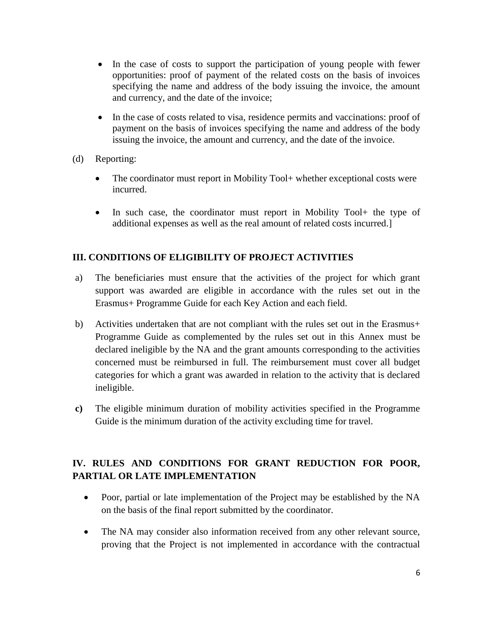- In the case of costs to support the participation of young people with fewer opportunities: proof of payment of the related costs on the basis of invoices specifying the name and address of the body issuing the invoice, the amount and currency, and the date of the invoice;
- In the case of costs related to visa, residence permits and vaccinations: proof of payment on the basis of invoices specifying the name and address of the body issuing the invoice, the amount and currency, and the date of the invoice.
- (d) Reporting:
	- The coordinator must report in Mobility Tool+ whether exceptional costs were incurred.
	- In such case, the coordinator must report in Mobility Tool+ the type of additional expenses as well as the real amount of related costs incurred.]

### **III. CONDITIONS OF ELIGIBILITY OF PROJECT ACTIVITIES**

- a) The beneficiaries must ensure that the activities of the project for which grant support was awarded are eligible in accordance with the rules set out in the Erasmus+ Programme Guide for each Key Action and each field.
- b) Activities undertaken that are not compliant with the rules set out in the Erasmus+ Programme Guide as complemented by the rules set out in this Annex must be declared ineligible by the NA and the grant amounts corresponding to the activities concerned must be reimbursed in full. The reimbursement must cover all budget categories for which a grant was awarded in relation to the activity that is declared ineligible.
- **c)** The eligible minimum duration of mobility activities specified in the Programme Guide is the minimum duration of the activity excluding time for travel.

# **IV. RULES AND CONDITIONS FOR GRANT REDUCTION FOR POOR, PARTIAL OR LATE IMPLEMENTATION**

- Poor, partial or late implementation of the Project may be established by the NA on the basis of the final report submitted by the coordinator.
- The NA may consider also information received from any other relevant source, proving that the Project is not implemented in accordance with the contractual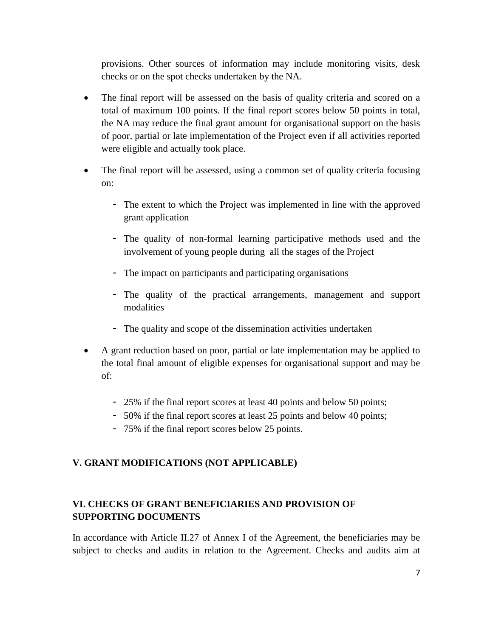provisions. Other sources of information may include monitoring visits, desk checks or on the spot checks undertaken by the NA.

- The final report will be assessed on the basis of quality criteria and scored on a total of maximum 100 points. If the final report scores below 50 points in total, the NA may reduce the final grant amount for organisational support on the basis of poor, partial or late implementation of the Project even if all activities reported were eligible and actually took place.
- The final report will be assessed, using a common set of quality criteria focusing on:
	- The extent to which the Project was implemented in line with the approved grant application
	- The quality of non-formal learning participative methods used and the involvement of young people during all the stages of the Project
	- The impact on participants and participating organisations
	- The quality of the practical arrangements, management and support modalities
	- The quality and scope of the dissemination activities undertaken
- A grant reduction based on poor, partial or late implementation may be applied to the total final amount of eligible expenses for organisational support and may be of:
	- 25% if the final report scores at least 40 points and below 50 points;
	- 50% if the final report scores at least 25 points and below 40 points;
	- 75% if the final report scores below 25 points.

# **V. GRANT MODIFICATIONS (NOT APPLICABLE)**

# **VI. CHECKS OF GRANT BENEFICIARIES AND PROVISION OF SUPPORTING DOCUMENTS**

In accordance with Article II.27 of Annex I of the Agreement, the beneficiaries may be subject to checks and audits in relation to the Agreement. Checks and audits aim at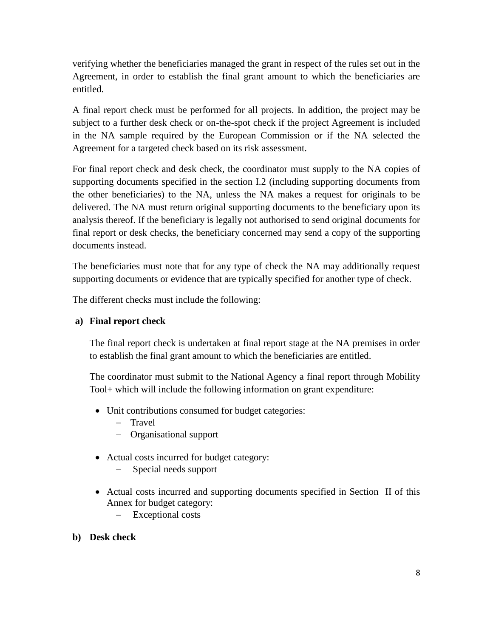verifying whether the beneficiaries managed the grant in respect of the rules set out in the Agreement, in order to establish the final grant amount to which the beneficiaries are entitled.

A final report check must be performed for all projects. In addition, the project may be subject to a further desk check or on-the-spot check if the project Agreement is included in the NA sample required by the European Commission or if the NA selected the Agreement for a targeted check based on its risk assessment.

For final report check and desk check, the coordinator must supply to the NA copies of supporting documents specified in the section I.2 (including supporting documents from the other beneficiaries) to the NA, unless the NA makes a request for originals to be delivered. The NA must return original supporting documents to the beneficiary upon its analysis thereof. If the beneficiary is legally not authorised to send original documents for final report or desk checks, the beneficiary concerned may send a copy of the supporting documents instead.

The beneficiaries must note that for any type of check the NA may additionally request supporting documents or evidence that are typically specified for another type of check.

The different checks must include the following:

### **a) Final report check**

The final report check is undertaken at final report stage at the NA premises in order to establish the final grant amount to which the beneficiaries are entitled.

The coordinator must submit to the National Agency a final report through Mobility Tool+ which will include the following information on grant expenditure:

- Unit contributions consumed for budget categories:
	- Travel
	- Organisational support
- Actual costs incurred for budget category:
	- Special needs support
- Actual costs incurred and supporting documents specified in Section II of this Annex for budget category:
	- Exceptional costs
- **b) Desk check**